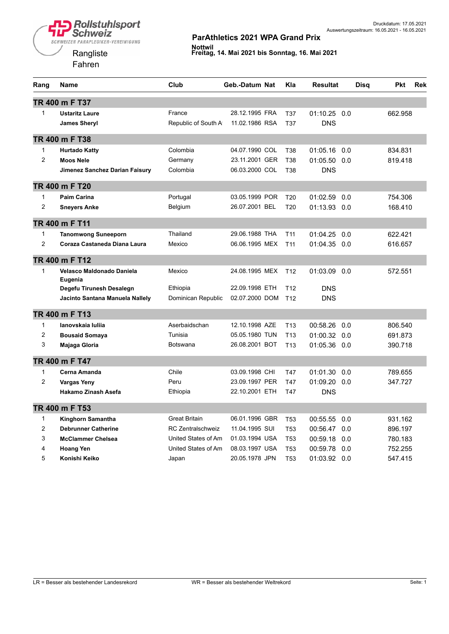**Rollstuhlsport**<br>Schweiz SCHWEIZER PARAPLEGIKER-VEREINIGUNG

> Rangliste Fahren



| Rang           | Name                                 | Club                     | Geb.-Datum Nat | Kla             | <b>Resultat</b> | Disq | <b>Pkt</b> | Rek |
|----------------|--------------------------------------|--------------------------|----------------|-----------------|-----------------|------|------------|-----|
|                | TR 400 m F T37                       |                          |                |                 |                 |      |            |     |
| $\mathbf{1}$   | <b>Ustaritz Laure</b>                | France                   | 28.12.1995 FRA | T37             | $01:10.25$ 0.0  |      | 662.958    |     |
|                | <b>James Sheryl</b>                  | Republic of South A      | 11.02.1986 RSA | T37             | <b>DNS</b>      |      |            |     |
|                | TR 400 m F T38                       |                          |                |                 |                 |      |            |     |
| $\mathbf{1}$   | <b>Hurtado Katty</b>                 | Colombia                 | 04.07.1990 COL | T38             | 01:05.16        | 0.0  | 834.831    |     |
| $\overline{2}$ | <b>Moos Nele</b>                     | Germany                  | 23.11.2001 GER | <b>T38</b>      | 01:05.50        | 0.0  | 819.418    |     |
|                | Jimenez Sanchez Darian Faisury       | Colombia                 | 06.03.2000 COL | T38             | <b>DNS</b>      |      |            |     |
|                | TR 400 m F T20                       |                          |                |                 |                 |      |            |     |
| 1              | <b>Paim Carina</b>                   | Portugal                 | 03.05.1999 POR | T <sub>20</sub> | 01:02.59        | 0.0  | 754.306    |     |
| $\overline{2}$ | <b>Sneyers Anke</b>                  | Belgium                  | 26.07.2001 BEL | T <sub>20</sub> | 01:13.93 0.0    |      | 168.410    |     |
|                | TR 400 m F T11                       |                          |                |                 |                 |      |            |     |
| 1              | <b>Tanomwong Suneeporn</b>           | Thailand                 | 29.06.1988 THA | T <sub>11</sub> | 01:04.25        | 0.0  | 622.421    |     |
| 2              | Coraza Castaneda Diana Laura         | Mexico                   | 06.06.1995 MEX | T <sub>11</sub> | 01:04.35 0.0    |      | 616.657    |     |
|                | TR 400 m F T12                       |                          |                |                 |                 |      |            |     |
| $\mathbf{1}$   | Velasco Maldonado Daniela<br>Eugenia | Mexico                   | 24.08.1995 MEX | T <sub>12</sub> | 01:03.09        | 0.0  | 572.551    |     |
|                | Degefu Tirunesh Desalegn             | Ethiopia                 | 22.09.1998 ETH | T <sub>12</sub> | DNS             |      |            |     |
|                | Jacinto Santana Manuela Nallely      | Dominican Republic       | 02.07.2000 DOM | T <sub>12</sub> | <b>DNS</b>      |      |            |     |
|                | TR 400 m F T13                       |                          |                |                 |                 |      |            |     |
| $\mathbf{1}$   | lanovskaja lulija                    | Aserbaidschan            | 12.10.1998 AZE | T <sub>13</sub> | 00:58.26        | 0.0  | 806.540    |     |
| $\overline{c}$ | <b>Bousaid Somaya</b>                | Tunisia                  | 05.05.1980 TUN | T <sub>13</sub> | 01:00.32 0.0    |      | 691.873    |     |
| 3              | Majaga Gloria                        | <b>Botswana</b>          | 26.08.2001 BOT | T <sub>13</sub> | 01:05.36 0.0    |      | 390.718    |     |
|                | TR 400 m F T47                       |                          |                |                 |                 |      |            |     |
| $\mathbf{1}$   | Cerna Amanda                         | Chile                    | 03.09.1998 CHI | T47             | 01:01.30        | 0.0  | 789.655    |     |
| 2              | <b>Vargas Yeny</b>                   | Peru                     | 23.09.1997 PER | T47             | 01:09.20        | 0.0  | 347.727    |     |
|                | Hakamo Zinash Asefa                  | Ethiopia                 | 22.10.2001 ETH | T47             | <b>DNS</b>      |      |            |     |
|                | TR 400 m F T53                       |                          |                |                 |                 |      |            |     |
| 1              | Kinghorn Samantha                    | <b>Great Britain</b>     | 06.01.1996 GBR | T <sub>53</sub> | 00:55.55        | 0.0  | 931.162    |     |
| $\overline{2}$ | <b>Debrunner Catherine</b>           | <b>RC Zentralschweiz</b> | 11.04.1995 SUI | <b>T53</b>      | 00:56.47 0.0    |      | 896.197    |     |
| 3              | <b>McClammer Chelsea</b>             | United States of Am      | 01.03.1994 USA | <b>T53</b>      | 00:59.18        | 0.0  | 780.183    |     |
| 4              | <b>Hoang Yen</b>                     | United States of Am      | 08.03.1997 USA | T <sub>53</sub> | 00:59.78        | 0.0  | 752.255    |     |
| 5              | Konishi Keiko                        | Japan                    | 20.05.1978 JPN | T <sub>53</sub> | 01:03.92 0.0    |      | 547.415    |     |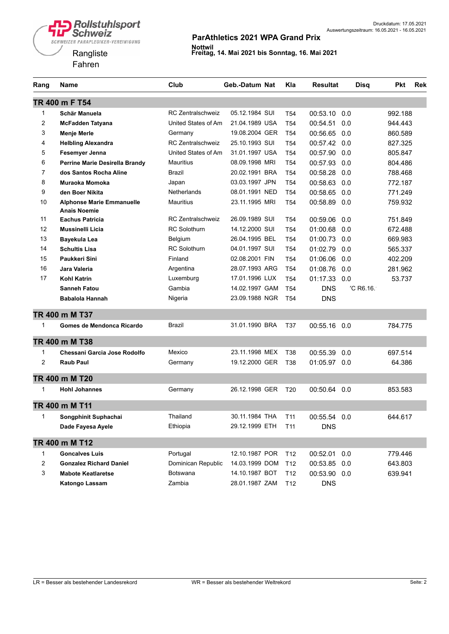

| Rang           | Name                                                    | Club                     | Geb.-Datum Nat | Kla             | <b>Resultat</b> | <b>Disq</b> | Pkt     | <b>Rek</b> |
|----------------|---------------------------------------------------------|--------------------------|----------------|-----------------|-----------------|-------------|---------|------------|
|                | TR 400 m F T54                                          |                          |                |                 |                 |             |         |            |
| 1              | Schär Manuela                                           | <b>RC Zentralschweiz</b> | 05.12.1984 SUI | T <sub>54</sub> | 00:53.10        | 0.0         | 992.188 |            |
| 2              | <b>McFadden Tatyana</b>                                 | United States of Am      | 21.04.1989 USA | T <sub>54</sub> | 00:54.51        | 0.0         | 944.443 |            |
| 3              | <b>Menje Merle</b>                                      | Germany                  | 19.08.2004 GER | T <sub>54</sub> | 00:56.65        | 0.0         | 860.589 |            |
| 4              | <b>Helbling Alexandra</b>                               | <b>RC Zentralschweiz</b> | 25.10.1993 SUI | T <sub>54</sub> | 00:57.42 0.0    |             | 827.325 |            |
| 5              | Fesemyer Jenna                                          | United States of Am      | 31.01.1997 USA | T <sub>54</sub> | 00:57.90        | 0.0         | 805.847 |            |
| 6              | Perrine Marie Desirella Brandy                          | <b>Mauritius</b>         | 08.09.1998 MRI | T <sub>54</sub> | 00:57.93        | 0.0         | 804.486 |            |
| $\overline{7}$ | dos Santos Rocha Aline                                  | <b>Brazil</b>            | 20.02.1991 BRA | T <sub>54</sub> | 00:58.28        | 0.0         | 788.468 |            |
| 8              | Muraoka Momoka                                          | Japan                    | 03.03.1997 JPN | T <sub>54</sub> | 00:58.63        | 0.0         | 772.187 |            |
| 9              | den Boer Nikita                                         | <b>Netherlands</b>       | 08.01.1991 NED | T <sub>54</sub> | 00:58.65        | 0.0         | 771.249 |            |
| 10             | <b>Alphonse Marie Emmanuelle</b><br><b>Anais Noemie</b> | <b>Mauritius</b>         | 23.11.1995 MRI | T <sub>54</sub> | 00:58.89        | 0.0         | 759.932 |            |
| 11             | <b>Eachus Patricia</b>                                  | <b>RC Zentralschweiz</b> | 26.09.1989 SUI | T <sub>54</sub> | 00:59.06        | 0.0         | 751.849 |            |
| 12             | <b>Mussinelli Licia</b>                                 | <b>RC Solothurn</b>      | 14.12.2000 SUI | T <sub>54</sub> | 01:00.68        | 0.0         | 672.488 |            |
| 13             | Bayekula Lea                                            | Belgium                  | 26.04.1995 BEL | T <sub>54</sub> | 01:00.73        | 0.0         | 669.983 |            |
| 14             | <b>Schultis Lisa</b>                                    | <b>RC Solothurn</b>      | 04.01.1997 SUI | T <sub>54</sub> | 01:02.79        | 0.0         | 565.337 |            |
| 15             | Paukkeri Sini                                           | Finland                  | 02.08.2001 FIN | T <sub>54</sub> | 01:06.06        | 0.0         | 402.209 |            |
| 16             | Jara Valeria                                            | Argentina                | 28.07.1993 ARG | T <sub>54</sub> | 01:08.76        | 0.0         | 281.962 |            |
| 17             | Kohl Katrin                                             | Luxemburg                | 17.01.1996 LUX | T <sub>54</sub> | 01:17.33        | 0.0         | 53.737  |            |
|                | <b>Sanneh Fatou</b>                                     | Gambia                   | 14.02.1997 GAM | T <sub>54</sub> | <b>DNS</b>      | 'C R6.16.   |         |            |
|                | Babalola Hannah                                         | Nigeria                  | 23.09.1988 NGR | T <sub>54</sub> | <b>DNS</b>      |             |         |            |
|                | TR 400 m M T37                                          |                          |                |                 |                 |             |         |            |
| 1              | Gomes de Mendonca Ricardo                               | Brazil                   | 31.01.1990 BRA | T37             | 00:55.16        | 0.0         | 784.775 |            |
|                | TR 400 m M T38                                          |                          |                |                 |                 |             |         |            |
| 1              | Chessani Garcia Jose Rodolfo                            | Mexico                   | 23.11.1998 MEX | T38             | 00:55.39        | 0.0         | 697.514 |            |
| 2              | <b>Raub Paul</b>                                        | Germany                  | 19.12.2000 GER | T38             | 01:05.97 0.0    |             | 64.386  |            |
|                | TR 400 m M T20                                          |                          |                |                 |                 |             |         |            |
| 1              | <b>Hohl Johannes</b>                                    | Germany                  | 26.12.1998 GER | T <sub>20</sub> | 00:50.64        | 0.0         | 853.583 |            |
|                | TR 400 m M T11                                          |                          |                |                 |                 |             |         |            |
|                | Songphinit Suphachai                                    | Thailand                 | 30.11.1984 THA | T <sub>11</sub> | 00:55.54 0.0    |             | 644.617 |            |
|                | Dade Fayesa Ayele                                       | Ethiopia                 | 29.12.1999 ETH | T11             | <b>DNS</b>      |             |         |            |
|                | TR 400 m M T12                                          |                          |                |                 |                 |             |         |            |
| 1              | <b>Goncalves Luis</b>                                   | Portugal                 | 12.10.1987 POR | T <sub>12</sub> | 00:52.01        | 0.0         | 779.446 |            |
| 2              | <b>Gonzalez Richard Daniel</b>                          | Dominican Republic       | 14.03.1999 DOM | T <sub>12</sub> | 00:53.85 0.0    |             | 643.803 |            |
| 3              | <b>Mabote Keatlaretse</b>                               | Botswana                 | 14.10.1987 BOT | T <sub>12</sub> | 00:53.90 0.0    |             | 639.941 |            |
|                | Katongo Lassam                                          | Zambia                   | 28.01.1987 ZAM | T <sub>12</sub> | <b>DNS</b>      |             |         |            |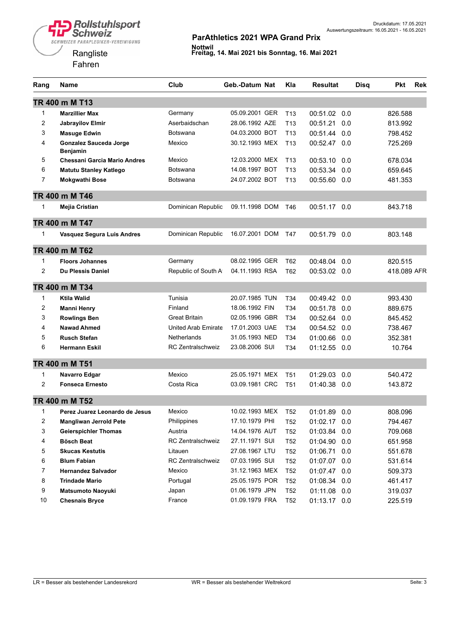

| Rang           | <b>Name</b>                         | Club                     | Geb.-Datum Nat | Kla             | <b>Resultat</b> | <b>Disq</b> | <b>Pkt</b>  | <b>Rek</b> |
|----------------|-------------------------------------|--------------------------|----------------|-----------------|-----------------|-------------|-------------|------------|
|                | TR 400 m M T13                      |                          |                |                 |                 |             |             |            |
| 1              | <b>Marzillier Max</b>               | Germany                  | 05.09.2001 GER | T13             | 00:51.02        | 0.0         | 826.588     |            |
| 2              | <b>Jabravilov Elmir</b>             | Aserbaidschan            | 28.06.1992 AZE | T <sub>13</sub> | 00:51.21        | 0.0         | 813.992     |            |
| 3              | <b>Masuge Edwin</b>                 | <b>Botswana</b>          | 04.03.2000 BOT | T <sub>13</sub> | 00:51.44        | 0.0         | 798.452     |            |
| 4              | <b>Gonzalez Sauceda Jorge</b>       | Mexico                   | 30.12.1993 MEX | T <sub>13</sub> | 00:52.47        | 0.0         | 725.269     |            |
|                | Benjamin                            |                          |                |                 |                 |             |             |            |
| 5              | <b>Chessani Garcia Mario Andres</b> | Mexico                   | 12.03.2000 MEX | T13             | 00:53.10        | 0.0         | 678.034     |            |
| 6              | <b>Matutu Stanley Katlego</b>       | <b>Botswana</b>          | 14.08.1997 BOT | T <sub>13</sub> | 00:53.34        | 0.0         | 659.645     |            |
| $\overline{7}$ | <b>Mokgwathi Bose</b>               | <b>Botswana</b>          | 24.07.2002 BOT | T <sub>13</sub> | 00:55.60        | 0.0         | 481.353     |            |
|                | TR 400 m M T46                      |                          |                |                 |                 |             |             |            |
| 1              | Mejia Cristian                      | Dominican Republic       | 09.11.1998 DOM | T46             | 00:51.17        | 0.0         | 843.718     |            |
|                | TR 400 m M T47                      |                          |                |                 |                 |             |             |            |
| 1              | Vasquez Segura Luis Andres          | Dominican Republic       | 16.07.2001 DOM | T47             | 00:51.79        | 0.0         | 803.148     |            |
|                | TR 400 m M T62                      |                          |                |                 |                 |             |             |            |
| 1              | <b>Floors Johannes</b>              | Germany                  | 08.02.1995 GER | T62             | 00:48.04        | 0.0         | 820.515     |            |
| $\overline{c}$ | Du Plessis Daniel                   | Republic of South A      | 04.11.1993 RSA | T62             | 00:53.02        | 0.0         | 418.089 AFR |            |
|                | TR 400 m M T34                      |                          |                |                 |                 |             |             |            |
| 1              | <b>Ktila Walid</b>                  | Tunisia                  | 20.07.1985 TUN | T34             | 00:49.42        | 0.0         | 993.430     |            |
| $\overline{c}$ | <b>Manni Henry</b>                  | Finland                  | 18.06.1992 FIN | T34             | 00:51.78        | 0.0         | 889.675     |            |
| 3              | <b>Rowlings Ben</b>                 | <b>Great Britain</b>     | 02.05.1996 GBR | T34             | 00:52.64        | 0.0         | 845.452     |            |
| 4              | <b>Nawad Ahmed</b>                  | United Arab Emirate      | 17.01.2003 UAE | T34             | 00:54.52        | 0.0         | 738.467     |            |
| 5              | <b>Rusch Stefan</b>                 | <b>Netherlands</b>       | 31.05.1993 NED | T34             | 01:00.66        | 0.0         | 352.381     |            |
| 6              | <b>Hermann Eskil</b>                | <b>RC Zentralschweiz</b> | 23.08.2006 SUI | T34             | 01:12.55        | 0.0         | 10.764      |            |
|                | TR 400 m M T51                      |                          |                |                 |                 |             |             |            |
| 1              | Navarro Edgar                       | Mexico                   | 25.05.1971 MEX | T51             | 01:29.03        | 0.0         | 540.472     |            |
| 2              | <b>Fonseca Ernesto</b>              | Costa Rica               | 03.09.1981 CRC | T <sub>51</sub> | 01:40.38        | 0.0         | 143.872     |            |
|                | TR 400 m M T52                      |                          |                |                 |                 |             |             |            |
| 1              | Perez Juarez Leonardo de Jesus      | Mexico                   | 10.02.1993 MEX | T <sub>52</sub> | 01:01.89        | 0.0         | 808.096     |            |
| 2              | <b>Mangliwan Jerrold Pete</b>       | Philippines              | 17.10.1979 PHI | T <sub>52</sub> | 01:02.17        | 0.0         | 794.467     |            |
| 3              | <b>Geierspichler Thomas</b>         | Austria                  | 14.04.1976 AUT | T <sub>52</sub> | 01:03.84        | 0.0         | 709.068     |            |
| 4              | <b>Bösch Beat</b>                   | <b>RC Zentralschweiz</b> | 27.11.1971 SUI | T <sub>52</sub> | 01:04.90        | 0.0         | 651.958     |            |
| 5              | <b>Skucas Kestutis</b>              | Litauen                  | 27.08.1967 LTU | T <sub>52</sub> | 01:06.71        | 0.0         | 551.678     |            |
| 6              | <b>Blum Fabian</b>                  | <b>RC Zentralschweiz</b> | 07.03.1995 SUI | T <sub>52</sub> | 01:07.07        | 0.0         | 531.614     |            |
| 7              | <b>Hernandez Salvador</b>           | Mexico                   | 31.12.1963 MEX | T <sub>52</sub> | 01:07.47        | 0.0         | 509.373     |            |
| 8              | <b>Trindade Mario</b>               | Portugal                 | 25.05.1975 POR | T <sub>52</sub> | 01:08.34        | 0.0         | 461.417     |            |
| 9              | <b>Matsumoto Naoyuki</b>            | Japan                    | 01.06.1979 JPN | T <sub>52</sub> | 01:11.08 0.0    |             | 319.037     |            |
| 10             | <b>Chesnais Bryce</b>               | France                   | 01.09.1979 FRA | T <sub>52</sub> | 01:13.17 0.0    |             | 225.519     |            |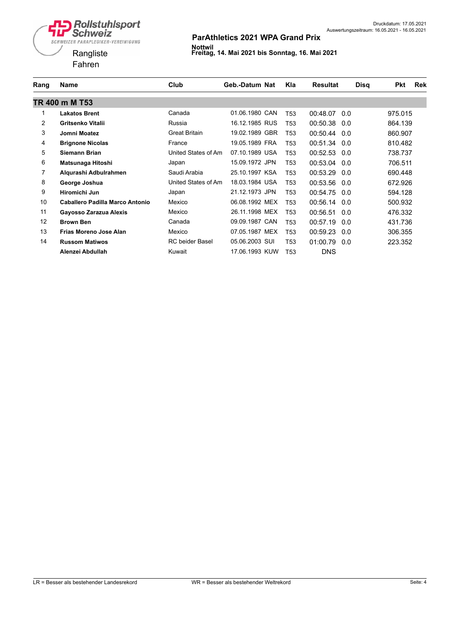

| Rang           | <b>Name</b>                     | Club                   | Geb.-Datum Nat | Kla             | <b>Disg</b><br><b>Resultat</b> | Pkt<br><b>Rek</b> |
|----------------|---------------------------------|------------------------|----------------|-----------------|--------------------------------|-------------------|
|                | TR 400 m M T53                  |                        |                |                 |                                |                   |
|                | <b>Lakatos Brent</b>            | Canada                 | 01.06.1980 CAN | T <sub>53</sub> | 00:48.07<br>0.0                | 975.015           |
| $\overline{2}$ | Gritsenko Vitalii               | Russia                 | 16.12.1985 RUS | T <sub>53</sub> | 00:50.38<br>0.0                | 864.139           |
| 3              | Jomni Moatez                    | <b>Great Britain</b>   | 19.02.1989 GBR | T53             | 00:50.44<br>0.0                | 860.907           |
| 4              | <b>Brignone Nicolas</b>         | France                 | 19.05.1989 FRA | T <sub>53</sub> | 00:51.34<br>0.0                | 810.482           |
| 5              | Siemann Brian                   | United States of Am    | 07.10.1989 USA | T <sub>53</sub> | 00:52.53 0.0                   | 738.737           |
| 6              | Matsunaga Hitoshi               | Japan                  | 15.09.1972 JPN | T53             | 00:53.04<br>0.0                | 706.511           |
| 7              | Alqurashi Adbulrahmen           | Saudi Arabia           | 25.10.1997 KSA | T53             | 00:53.29<br>0.0                | 690.448           |
| 8              | George Joshua                   | United States of Am    | 18.03.1984 USA | T <sub>53</sub> | 00:53.56<br>0.0                | 672.926           |
| 9              | Hiromichi Jun                   | Japan                  | 21.12.1973 JPN | T53             | 00:54.75<br>0.0                | 594.128           |
| 10             | Caballero Padilla Marco Antonio | Mexico                 | 06.08.1992 MEX | T53             | 00:56.14<br>0.0                | 500.932           |
| 11             | Gayosso Zarazua Alexis          | Mexico                 | 26.11.1998 MEX | T <sub>53</sub> | 00:56.51<br>0.0                | 476.332           |
| 12             | <b>Brown Ben</b>                | Canada                 | 09.09.1987 CAN | T <sub>53</sub> | 00:57.19<br>0.0                | 431.736           |
| 13             | <b>Frias Moreno Jose Alan</b>   | Mexico                 | 07.05.1987 MEX | T53             | 00:59.23<br>0.0                | 306.355           |
| 14             | <b>Russom Matiwos</b>           | <b>RC</b> beider Basel | 05.06.2003 SUI | T <sub>53</sub> | 01:00.79<br>0.0                | 223.352           |
|                | Alenzei Abdullah                | Kuwait                 | 17.06.1993 KUW | T <sub>53</sub> | <b>DNS</b>                     |                   |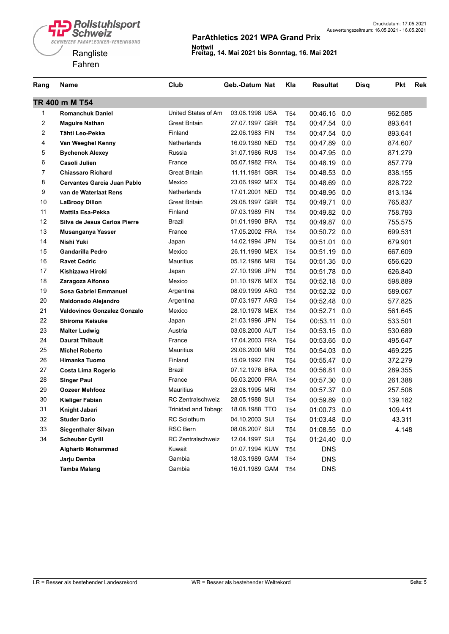

| Rang                    | Name                         | Club                       | Geb.-Datum Nat | Kla             | <b>Resultat</b> | <b>Disq</b> | <b>Pkt</b><br><b>Rek</b> |
|-------------------------|------------------------------|----------------------------|----------------|-----------------|-----------------|-------------|--------------------------|
|                         | TR 400 m M T54               |                            |                |                 |                 |             |                          |
| 1                       | <b>Romanchuk Daniel</b>      | United States of Am        | 03.08.1998 USA | T <sub>54</sub> | 00:46.15        | 0.0         | 962.585                  |
| $\overline{\mathbf{c}}$ | <b>Maguire Nathan</b>        | <b>Great Britain</b>       | 27.07.1997 GBR | T <sub>54</sub> | 00:47.54        | 0.0         | 893.641                  |
| $\overline{c}$          | Tähti Leo-Pekka              | Finland                    | 22.06.1983 FIN | T <sub>54</sub> | 00:47.54        | 0.0         | 893.641                  |
| 4                       | Van Weeghel Kenny            | Netherlands                | 16.09.1980 NED | T <sub>54</sub> | 00:47.89        | 0.0         | 874.607                  |
| 5                       | <b>Bychenok Alexey</b>       | Russia                     | 31.07.1986 RUS | T <sub>54</sub> | 00:47.95        | 0.0         | 871.279                  |
| 6                       | Casoli Julien                | France                     | 05.07.1982 FRA | T <sub>54</sub> | 00:48.19        | 0.0         | 857.779                  |
| $\overline{7}$          | <b>Chiassaro Richard</b>     | <b>Great Britain</b>       | 11.11.1981 GBR | T <sub>54</sub> | 00:48.53        | 0.0         | 838.155                  |
| 8                       | Cervantes Garcia Juan Pablo  | Mexico                     | 23.06.1992 MEX | T <sub>54</sub> | 00:48.69        | 0.0         | 828.722                  |
| 9                       | van de Waterlaat Rens        | Netherlands                | 17.01.2001 NED | T <sub>54</sub> | 00:48.95        | 0.0         | 813.134                  |
| 10                      | <b>LaBrooy Dillon</b>        | <b>Great Britain</b>       | 29.08.1997 GBR | T <sub>54</sub> | 00:49.71        | 0.0         | 765.837                  |
| 11                      | <b>Mattila Esa-Pekka</b>     | Finland                    | 07.03.1989 FIN | T <sub>54</sub> | 00:49.82        | 0.0         | 758.793                  |
| 12                      | Silva de Jesus Carlos Pierre | <b>Brazil</b>              | 01.01.1990 BRA | T <sub>54</sub> | 00:49.87        | 0.0         | 755.575                  |
| 13                      | Musanganya Yasser            | France                     | 17.05.2002 FRA | T <sub>54</sub> | 00:50.72        | 0.0         | 699.531                  |
| 14                      | Nishi Yuki                   | Japan                      | 14.02.1994 JPN | T <sub>54</sub> | 00:51.01        | 0.0         | 679.901                  |
| 15                      | <b>Gandarilla Pedro</b>      | Mexico                     | 26.11.1990 MEX | T <sub>54</sub> | 00:51.19        | 0.0         | 667.609                  |
| 16                      | <b>Ravet Cedric</b>          | <b>Mauritius</b>           | 05.12.1986 MRI | T <sub>54</sub> | 00:51.35        | 0.0         | 656.620                  |
| 17                      | Kishizawa Hiroki             | Japan                      | 27.10.1996 JPN | T <sub>54</sub> | 00:51.78        | 0.0         | 626.840                  |
| 18                      | Zaragoza Alfonso             | Mexico                     | 01.10.1976 MEX | T <sub>54</sub> | 00:52.18        | 0.0         | 598.889                  |
| 19                      | <b>Sosa Gabriel Emmanuel</b> | Argentina                  | 08.09.1999 ARG | T <sub>54</sub> | 00:52.32        | 0.0         | 589.067                  |
| 20                      | <b>Maldonado Alejandro</b>   | Argentina                  | 07.03.1977 ARG | T <sub>54</sub> | 00:52.48        | 0.0         | 577.825                  |
| 21                      | Valdovinos Gonzalez Gonzalo  | Mexico                     | 28.10.1978 MEX | T <sub>54</sub> | 00:52.71        | 0.0         | 561.645                  |
| 22                      | <b>Shiroma Keisuke</b>       | Japan                      | 21.03.1996 JPN | T <sub>54</sub> | 00:53.11        | 0.0         | 533.501                  |
| 23                      | <b>Malter Ludwig</b>         | Austria                    | 03.08.2000 AUT | T <sub>54</sub> | 00:53.15        | 0.0         | 530.689                  |
| 24                      | <b>Daurat Thibault</b>       | France                     | 17.04.2003 FRA | T <sub>54</sub> | 00:53.65        | 0.0         | 495.647                  |
| 25                      | <b>Michel Roberto</b>        | <b>Mauritius</b>           | 29.06.2000 MRI | T <sub>54</sub> | 00:54.03        | 0.0         | 469.225                  |
| 26                      | Himanka Tuomo                | Finland                    | 15.09.1992 FIN | T <sub>54</sub> | 00:55.47        | 0.0         | 372.279                  |
| 27                      | Costa Lima Rogerio           | <b>Brazil</b>              | 07.12.1976 BRA | T <sub>54</sub> | 00:56.81        | 0.0         | 289.355                  |
| 28                      | <b>Singer Paul</b>           | France                     | 05.03.2000 FRA | T <sub>54</sub> | 00:57.30        | 0.0         | 261.388                  |
| 29                      | <b>Oozeer Mehfooz</b>        | <b>Mauritius</b>           | 23.08.1995 MRI | T <sub>54</sub> | 00:57.37        | 0.0         | 257.508                  |
| 30                      | Kieliger Fabian              | <b>RC Zentralschweiz</b>   | 28.05.1988 SUI | T <sub>54</sub> | 00:59.89        | 0.0         | 139.182                  |
| 31                      | Knight Jabari                | <b>Trinidad and Tobago</b> | 18.08.1988 TTO | T <sub>54</sub> | 01:00.73        | 0.0         | 109.411                  |
| 32                      | <b>Studer Dario</b>          | <b>RC</b> Solothurn        | 04.10.2003 SUI | T <sub>54</sub> | 01:03.48        | 0.0         | 43.311                   |
| 33                      | <b>Siegenthaler Silvan</b>   | <b>RSC Bern</b>            | 08.08.2007 SUI | T <sub>54</sub> | 01:08.55        | 0.0         | 4.148                    |
| 34                      | <b>Scheuber Cyrill</b>       | <b>RC Zentralschweiz</b>   | 12.04.1997 SUI | T <sub>54</sub> | 01:24.40 0.0    |             |                          |
|                         | <b>Algharib Mohammad</b>     | Kuwait                     | 01.07.1994 KUW | T <sub>54</sub> | <b>DNS</b>      |             |                          |
|                         | Jarju Demba                  | Gambia                     | 18.03.1989 GAM | T <sub>54</sub> | <b>DNS</b>      |             |                          |
|                         | Tamba Malang                 | Gambia                     | 16.01.1989 GAM | <b>T54</b>      | <b>DNS</b>      |             |                          |